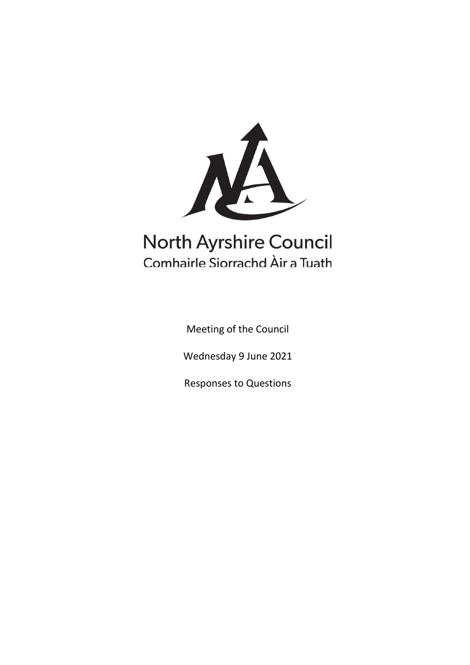

# **North Ayrshire Council** Comhairle Siorrachd Àir a Tuath

Meeting of the Council

Wednesday 9 June 2021

Responses to Questions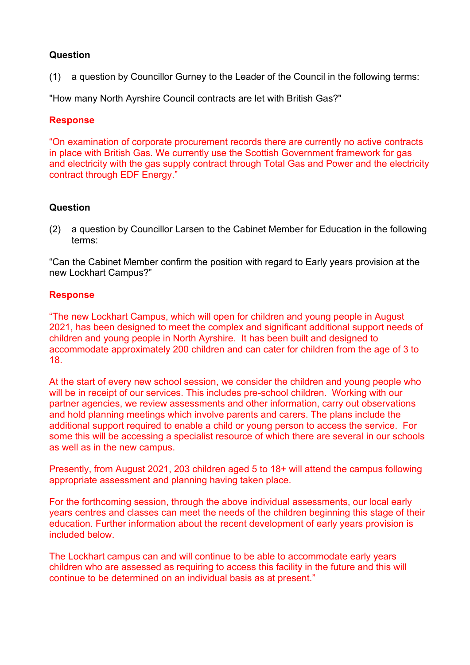(1) a question by Councillor Gurney to the Leader of the Council in the following terms:

"How many North Ayrshire Council contracts are let with British Gas?"

## **Response**

"On examination of corporate procurement records there are currently no active contracts in place with British Gas. We currently use the Scottish Government framework for gas and electricity with the gas supply contract through Total Gas and Power and the electricity contract through EDF Energy."

# **Question**

(2) a question by Councillor Larsen to the Cabinet Member for Education in the following terms:

"Can the Cabinet Member confirm the position with regard to Early years provision at the new Lockhart Campus?"

## **Response**

"The new Lockhart Campus, which will open for children and young people in August 2021, has been designed to meet the complex and significant additional support needs of children and young people in North Ayrshire. It has been built and designed to accommodate approximately 200 children and can cater for children from the age of 3 to 18.

At the start of every new school session, we consider the children and young people who will be in receipt of our services. This includes pre-school children. Working with our partner agencies, we review assessments and other information, carry out observations and hold planning meetings which involve parents and carers. The plans include the additional support required to enable a child or young person to access the service. For some this will be accessing a specialist resource of which there are several in our schools as well as in the new campus.

Presently, from August 2021, 203 children aged 5 to 18+ will attend the campus following appropriate assessment and planning having taken place.

For the forthcoming session, through the above individual assessments, our local early years centres and classes can meet the needs of the children beginning this stage of their education. Further information about the recent development of early years provision is included below.

The Lockhart campus can and will continue to be able to accommodate early years children who are assessed as requiring to access this facility in the future and this will continue to be determined on an individual basis as at present."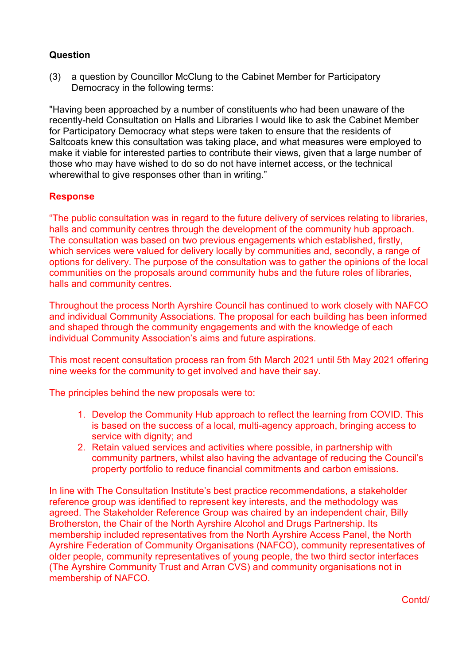(3) a question by Councillor McClung to the Cabinet Member for Participatory Democracy in the following terms:

"Having been approached by a number of constituents who had been unaware of the recently-held Consultation on Halls and Libraries I would like to ask the Cabinet Member for Participatory Democracy what steps were taken to ensure that the residents of Saltcoats knew this consultation was taking place, and what measures were employed to make it viable for interested parties to contribute their views, given that a large number of those who may have wished to do so do not have internet access, or the technical wherewithal to give responses other than in writing."

## **Response**

"The public consultation was in regard to the future delivery of services relating to libraries, halls and community centres through the development of the community hub approach. The consultation was based on two previous engagements which established, firstly, which services were valued for delivery locally by communities and, secondly, a range of options for delivery. The purpose of the consultation was to gather the opinions of the local communities on the proposals around community hubs and the future roles of libraries, halls and community centres.

Throughout the process North Ayrshire Council has continued to work closely with NAFCO and individual Community Associations. The proposal for each building has been informed and shaped through the community engagements and with the knowledge of each individual Community Association's aims and future aspirations.

This most recent consultation process ran from 5th March 2021 until 5th May 2021 offering nine weeks for the community to get involved and have their say.

The principles behind the new proposals were to:

- 1. Develop the Community Hub approach to reflect the learning from COVID. This is based on the success of a local, multi-agency approach, bringing access to service with dignity; and
- 2. Retain valued services and activities where possible, in partnership with community partners, whilst also having the advantage of reducing the Council's property portfolio to reduce financial commitments and carbon emissions.

In line with The Consultation Institute's best practice recommendations, a stakeholder reference group was identified to represent key interests, and the methodology was agreed. The Stakeholder Reference Group was chaired by an independent chair, Billy Brotherston, the Chair of the North Ayrshire Alcohol and Drugs Partnership. Its membership included representatives from the North Ayrshire Access Panel, the North Ayrshire Federation of Community Organisations (NAFCO), community representatives of older people, community representatives of young people, the two third sector interfaces (The Ayrshire Community Trust and Arran CVS) and community organisations not in membership of NAFCO.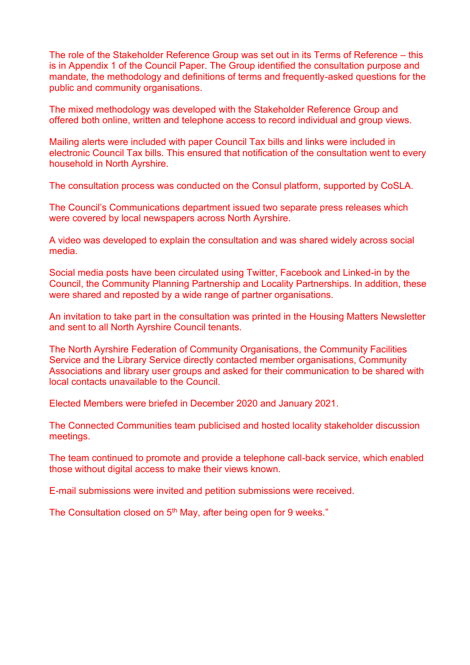The role of the Stakeholder Reference Group was set out in its Terms of Reference – this is in Appendix 1 of the Council Paper. The Group identified the consultation purpose and mandate, the methodology and definitions of terms and frequently-asked questions for the public and community organisations.

The mixed methodology was developed with the Stakeholder Reference Group and offered both online, written and telephone access to record individual and group views.

Mailing alerts were included with paper Council Tax bills and links were included in electronic Council Tax bills. This ensured that notification of the consultation went to every household in North Ayrshire.

The consultation process was conducted on the Consul platform, supported by CoSLA.

The Council's Communications department issued two separate press releases which were covered by local newspapers across North Ayrshire.

A video was developed to explain the consultation and was shared widely across social media.

Social media posts have been circulated using Twitter, Facebook and Linked-in by the Council, the Community Planning Partnership and Locality Partnerships. In addition, these were shared and reposted by a wide range of partner organisations.

An invitation to take part in the consultation was printed in the Housing Matters Newsletter and sent to all North Ayrshire Council tenants.

The North Ayrshire Federation of Community Organisations, the Community Facilities Service and the Library Service directly contacted member organisations, Community Associations and library user groups and asked for their communication to be shared with local contacts unavailable to the Council.

Elected Members were briefed in December 2020 and January 2021.

The Connected Communities team publicised and hosted locality stakeholder discussion meetings.

The team continued to promote and provide a telephone call-back service, which enabled those without digital access to make their views known.

E-mail submissions were invited and petition submissions were received.

The Consultation closed on 5<sup>th</sup> May, after being open for 9 weeks."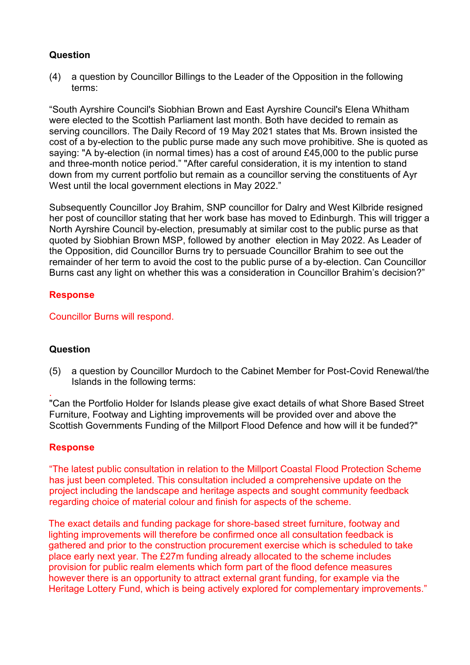(4) a question by Councillor Billings to the Leader of the Opposition in the following terms:

"South Ayrshire Council's Siobhian Brown and East Ayrshire Council's Elena Whitham were elected to the Scottish Parliament last month. Both have decided to remain as serving councillors. The Daily Record of 19 May 2021 states that Ms. Brown insisted the cost of a by-election to the public purse made any such move prohibitive. She is quoted as saying: "A by-election (in normal times) has a cost of around £45,000 to the public purse and three-month notice period." "After careful consideration, it is my intention to stand down from my current portfolio but remain as a councillor serving the constituents of Ayr West until the local government elections in May 2022."

Subsequently Councillor Joy Brahim, SNP councillor for Dalry and West Kilbride resigned her post of councillor stating that her work base has moved to Edinburgh. This will trigger a North Ayrshire Council by-election, presumably at similar cost to the public purse as that quoted by Siobhian Brown MSP, followed by another election in May 2022. As Leader of the Opposition, did Councillor Burns try to persuade Councillor Brahim to see out the remainder of her term to avoid the cost to the public purse of a by-election. Can Councillor Burns cast any light on whether this was a consideration in Councillor Brahim's decision?"

## **Response**

Councillor Burns will respond.

## **Question**

.

(5) a question by Councillor Murdoch to the Cabinet Member for Post-Covid Renewal/the Islands in the following terms:

"Can the Portfolio Holder for Islands please give exact details of what Shore Based Street Furniture, Footway and Lighting improvements will be provided over and above the Scottish Governments Funding of the Millport Flood Defence and how will it be funded?"

#### **Response**

"The latest public consultation in relation to the Millport Coastal Flood Protection Scheme has just been completed. This consultation included a comprehensive update on the project including the landscape and heritage aspects and sought community feedback regarding choice of material colour and finish for aspects of the scheme.

The exact details and funding package for shore-based street furniture, footway and lighting improvements will therefore be confirmed once all consultation feedback is gathered and prior to the construction procurement exercise which is scheduled to take place early next year. The £27m funding already allocated to the scheme includes provision for public realm elements which form part of the flood defence measures however there is an opportunity to attract external grant funding, for example via the Heritage Lottery Fund, which is being actively explored for complementary improvements."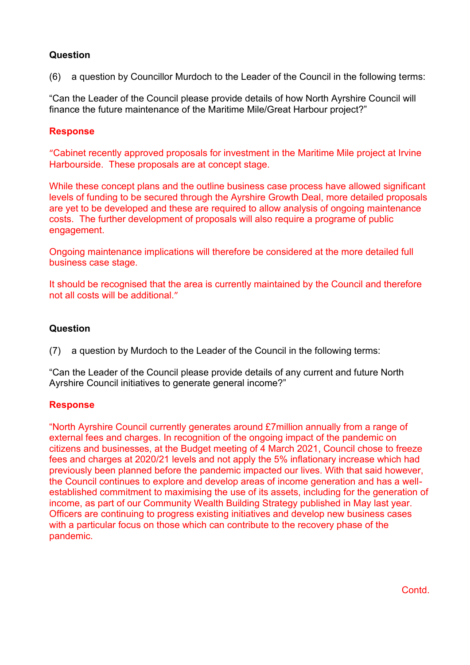(6) a question by Councillor Murdoch to the Leader of the Council in the following terms:

"Can the Leader of the Council please provide details of how North Ayrshire Council will finance the future maintenance of the Maritime Mile/Great Harbour project?"

## **Response**

"Cabinet recently approved proposals for investment in the Maritime Mile project at Irvine Harbourside. These proposals are at concept stage.

While these concept plans and the outline business case process have allowed significant levels of funding to be secured through the Ayrshire Growth Deal, more detailed proposals are yet to be developed and these are required to allow analysis of ongoing maintenance costs. The further development of proposals will also require a programe of public engagement.

Ongoing maintenance implications will therefore be considered at the more detailed full business case stage.

It should be recognised that the area is currently maintained by the Council and therefore not all costs will be additional."

## **Question**

(7) a question by Murdoch to the Leader of the Council in the following terms:

"Can the Leader of the Council please provide details of any current and future North Ayrshire Council initiatives to generate general income?"

## **Response**

"North Ayrshire Council currently generates around £7million annually from a range of external fees and charges. In recognition of the ongoing impact of the pandemic on citizens and businesses, at the Budget meeting of 4 March 2021, Council chose to freeze fees and charges at 2020/21 levels and not apply the 5% inflationary increase which had previously been planned before the pandemic impacted our lives. With that said however, the Council continues to explore and develop areas of income generation and has a wellestablished commitment to maximising the use of its assets, including for the generation of income, as part of our Community Wealth Building Strategy published in May last year. Officers are continuing to progress existing initiatives and develop new business cases with a particular focus on those which can contribute to the recovery phase of the pandemic.

**Contd**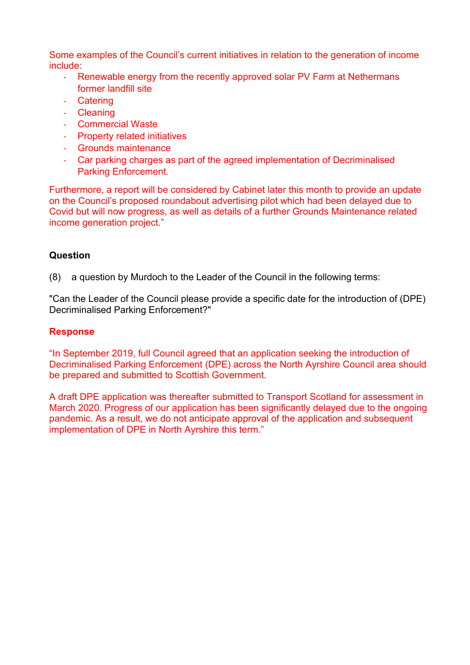Some examples of the Council's current initiatives in relation to the generation of income include:

- Renewable energy from the recently approved solar PV Farm at Nethermans former landfill site
- Catering
- Cleaning
- Commercial Waste
- Property related initiatives
- Grounds maintenance
- Car parking charges as part of the agreed implementation of Decriminalised Parking Enforcement.

Furthermore, a report will be considered by Cabinet later this month to provide an update on the Council's proposed roundabout advertising pilot which had been delayed due to Covid but will now progress, as well as details of a further Grounds Maintenance related income generation project."

# **Question**

(8) a question by Murdoch to the Leader of the Council in the following terms:

"Can the Leader of the Council please provide a specific date for the introduction of (DPE) Decriminalised Parking Enforcement?"

## **Response**

"In September 2019, full Council agreed that an application seeking the introduction of Decriminalised Parking Enforcement (DPE) across the North Ayrshire Council area should be prepared and submitted to Scottish Government.

A draft DPE application was thereafter submitted to Transport Scotland for assessment in March 2020. Progress of our application has been significantly delayed due to the ongoing pandemic. As a result, we do not anticipate approval of the application and subsequent implementation of DPE in North Ayrshire this term."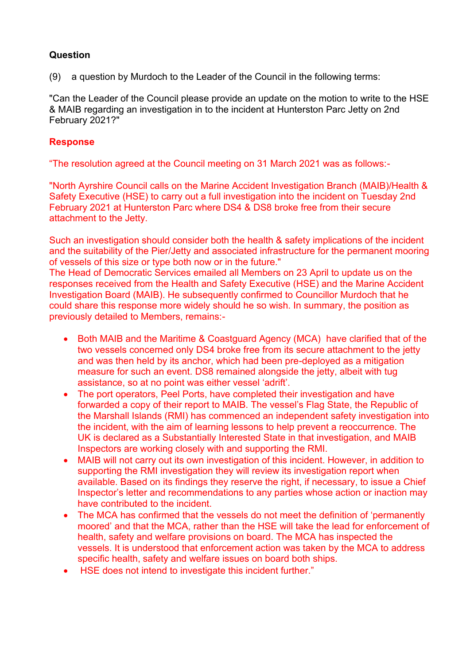(9) a question by Murdoch to the Leader of the Council in the following terms:

"Can the Leader of the Council please provide an update on the motion to write to the HSE & MAIB regarding an investigation in to the incident at Hunterston Parc Jetty on 2nd February 2021?"

# **Response**

"The resolution agreed at the Council meeting on 31 March 2021 was as follows:-

"North Ayrshire Council calls on the Marine Accident Investigation Branch (MAIB)/Health & Safety Executive (HSE) to carry out a full investigation into the incident on Tuesday 2nd February 2021 at Hunterston Parc where DS4 & DS8 broke free from their secure attachment to the Jetty.

Such an investigation should consider both the health & safety implications of the incident and the suitability of the Pier/Jetty and associated infrastructure for the permanent mooring of vessels of this size or type both now or in the future."

The Head of Democratic Services emailed all Members on 23 April to update us on the responses received from the Health and Safety Executive (HSE) and the Marine Accident Investigation Board (MAIB). He subsequently confirmed to Councillor Murdoch that he could share this response more widely should he so wish. In summary, the position as previously detailed to Members, remains:-

- Both MAIB and the Maritime & Coastguard Agency (MCA) have clarified that of the two vessels concerned only DS4 broke free from its secure attachment to the jetty and was then held by its anchor, which had been pre-deployed as a mitigation measure for such an event. DS8 remained alongside the jetty, albeit with tug assistance, so at no point was either vessel 'adrift'.
- The port operators, Peel Ports, have completed their investigation and have forwarded a copy of their report to MAIB. The vessel's Flag State, the Republic of the Marshall Islands (RMI) has commenced an independent safety investigation into the incident, with the aim of learning lessons to help prevent a reoccurrence. The UK is declared as a Substantially Interested State in that investigation, and MAIB Inspectors are working closely with and supporting the RMI.
- MAIB will not carry out its own investigation of this incident. However, in addition to supporting the RMI investigation they will review its investigation report when available. Based on its findings they reserve the right, if necessary, to issue a Chief Inspector's letter and recommendations to any parties whose action or inaction may have contributed to the incident.
- The MCA has confirmed that the vessels do not meet the definition of 'permanently moored' and that the MCA, rather than the HSE will take the lead for enforcement of health, safety and welfare provisions on board. The MCA has inspected the vessels. It is understood that enforcement action was taken by the MCA to address specific health, safety and welfare issues on board both ships.
- HSE does not intend to investigate this incident further."